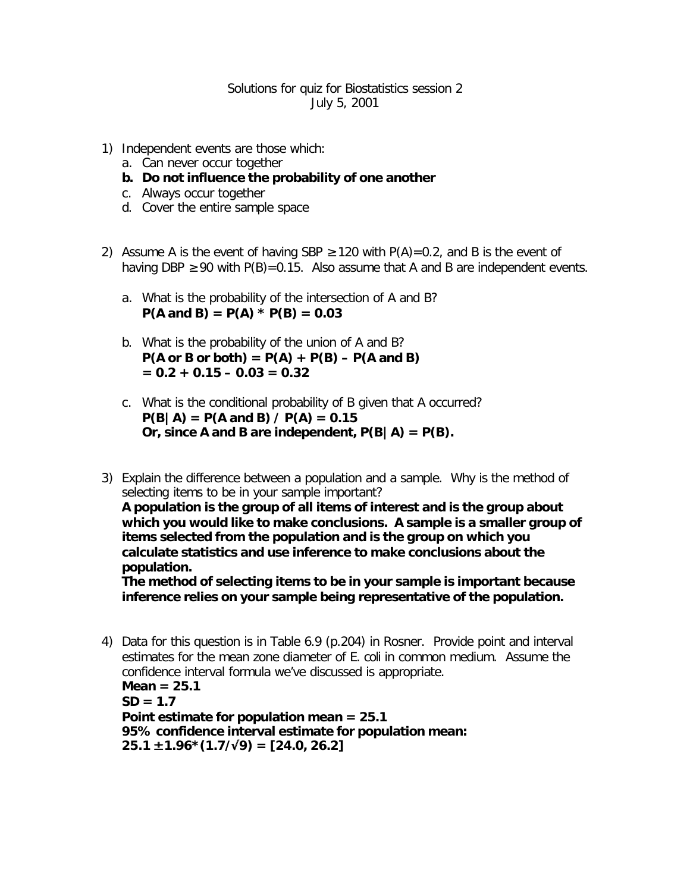## Solutions for quiz for Biostatistics session 2 July 5, 2001

- 1) Independent events are those which:
	- a. Can never occur together
	- **b. Do not influence the probability of one another**
	- c. Always occur together
	- d. Cover the entire sample space
- 2) Assume A is the event of having SBP  $\geq$  120 with P(A)=0.2, and B is the event of having DBP  $\geq$  90 with P(B)=0.15. Also assume that A and B are independent events.
	- a. What is the probability of the intersection of A and B?  $P(A \text{ and } B) = P(A) * P(B) = 0.03$
	- b. What is the probability of the union of A and B?  $P(A \text{ or } B \text{ or both}) = P(A) + P(B) - P(A \text{ and } B)$  $= 0.2 + 0.15 - 0.03 = 0.32$
	- c. What is the conditional probability of B given that A occurred?  $P(B|A) = P(A \text{ and } B) / P(A) = 0.15$ Or, since A and B are independent,  $P(B|A) = P(B)$ .
- 3) Explain the difference between a population and a sample. Why is the method of selecting items to be in your sample important?

**A population is the group of all items of interest and is the group about which you would like to make conclusions. A sample is a smaller group of items selected from the population and is the group on which you calculate statistics and use inference to make conclusions about the population.**

**The method of selecting items to be in your sample is important because inference relies on your sample being representative of the population.**

4) Data for this question is in Table 6.9 (p.204) in Rosner. Provide point and interval estimates for the mean zone diameter of *E. coli* in common medium. Assume the confidence interval formula we've discussed is appropriate.

**Mean = 25.1 SD = 1.7 Point estimate for population mean = 25.1 95% confidence interval estimate for population mean: 25.1 ± 1.96\*(1.7/Ö9) = [24.0, 26.2]**